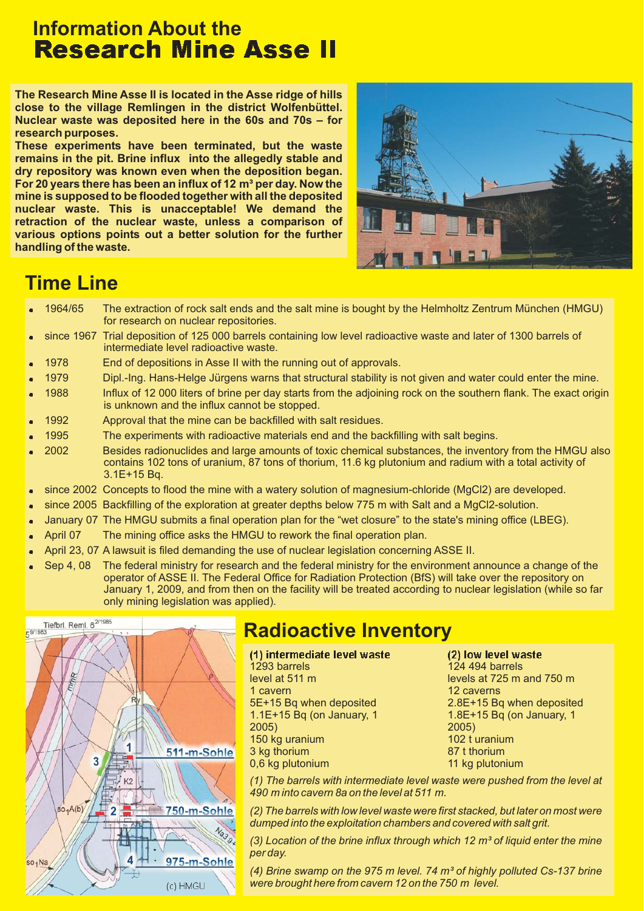## **Information About the Research Mine Asse II**

**The Research Mine Asse II is located in the Asse ridge of hills close to the village Remlingen in the district Wolfenbüttel. Nuclear waste was deposited here in the 60s and 70s – for research purposes.**

**These experiments have been terminated, but the waste remains in the pit. Brine influx into the allegedly stable and dry repository was known even when the deposition began.** For 20 years there has been an influx of 12 m<sup>3</sup> per day. Now the **mine is supposed to be flooded together with all the deposited nuclear waste. This is unacceptable! We demand the retraction of the nuclear waste, unless a comparison of various options points out a better solution for the further handling of the waste.**



### **Time Line**

- . 1964/65 The extraction of rock salt ends and the salt mine is bought by the Helmholtz Zentrum München (HMGU) for research on nuclear repositories.
- . since 1967 Trial deposition of 125 000 barrels containing low level radioactive waste and later of 1300 barrels of intermediate level radioactive waste.
- . 1978 End of depositions in Asse II with the running out of approvals.
- . 1979 Dipl.-Ing. Hans-Helge Jürgens warns that structural stability is not given and water could enter the mine.
- . 1988 Influx of 12 000 liters of brine per day starts from the adjoining rock on the southern flank. The exact origin is unknown and the influx cannot be stopped.
- . 1992 Approval that the mine can be backfilled with salt residues.
- . 1995 The experiments with radioactive materials end and the backfilling with salt begins.
- . 2002 Besides radionuclides and large amounts of toxic chemical substances, the inventory from the HMGU also contains 102 tons of uranium, 87 tons of thorium, 11.6 kg plutonium and radium with a total activity of 3.1E+15 Bq.
- × since 2002 Concepts to flood the mine with a watery solution of magnesium-chloride (MgCl2) are developed.
- . since 2005 Backfilling of the exploration at greater depths below 775 m with Salt and a MgCl2-solution.
- . January 07 The HMGU submits a final operation plan for the "wet closure" to the state's mining office (LBEG).
- . April 07 The mining office asks the HMGU to rework the final operation plan.
- . April 23, 07 A lawsuit is filed demanding the use of nuclear legislation concerning ASSE II.
- . Sep 4, 08 The federal ministry for research and the federal ministry for the environment announce a change of the operator of ASSE II. The Federal Office for Radiation Protection (BfS) will take over the repository on January 1, 2009, and from then on the facility will be treated according to nuclear legislation (while so far only mining legislation was applied).



# **Radioactive Inventory**

(1) intermed 1293 barrels

level at 511 m 1 cavern 5E+15 Bq when deposited 1.1E+15 Bq (on January, 1 2005) 150 kg uranium 3 kg thorium 0,6 kg plutonium

(2) low level waste 124 494 barrels levels at 725 m and 750 m 12 caverns 2.8E+15 Bq when deposited 1.8E+15 Bq (on January, 1 2005) 102  $t$  uranium 87 t thorium 11 kg plutonium

*(1) The barrels with intermediate level waste were pushed from the level at 490 m into cavern 8a on the level at 511 m.*

*(2) The barrels with low level waste were first stacked, but later on most were dumped into the exploitation chambers and covered with salt grit.*

*(3) Location of the brine influx through which 12 m³ of liquid enter the mine per day.*

*(4) Brine swamp on the 975 m level. 74 m³ of highly polluted Cs-137 brine were brought here from cavern 12 on the 750 m level.*